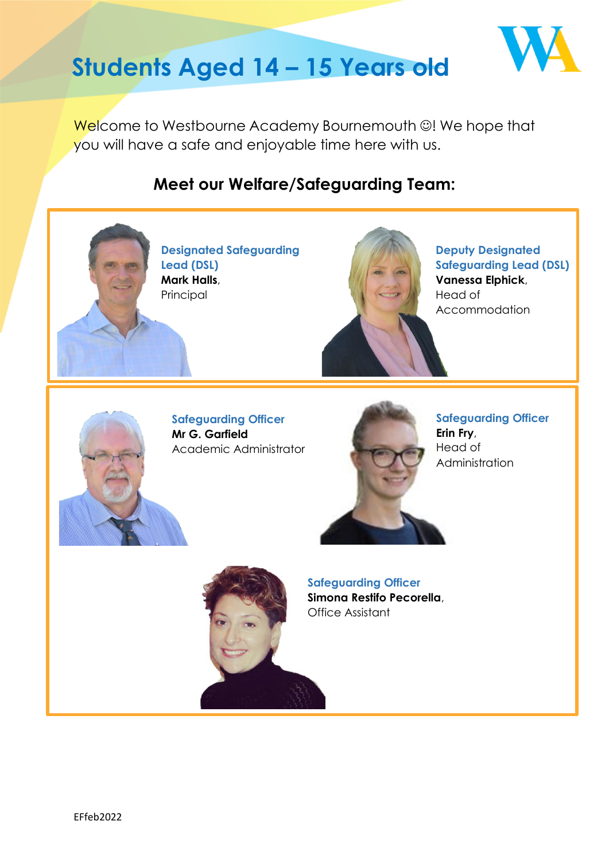

# **Students Aged 14 – 15 Years old**

Welcome to Westbourne Academy Bournemouth ☺! We hope that you will have a safe and enjoyable time here with us.

## **Meet our Welfare/Safeguarding Team:**





**Safeguarding Officer Simona Restifo Pecorella**, Office Assistant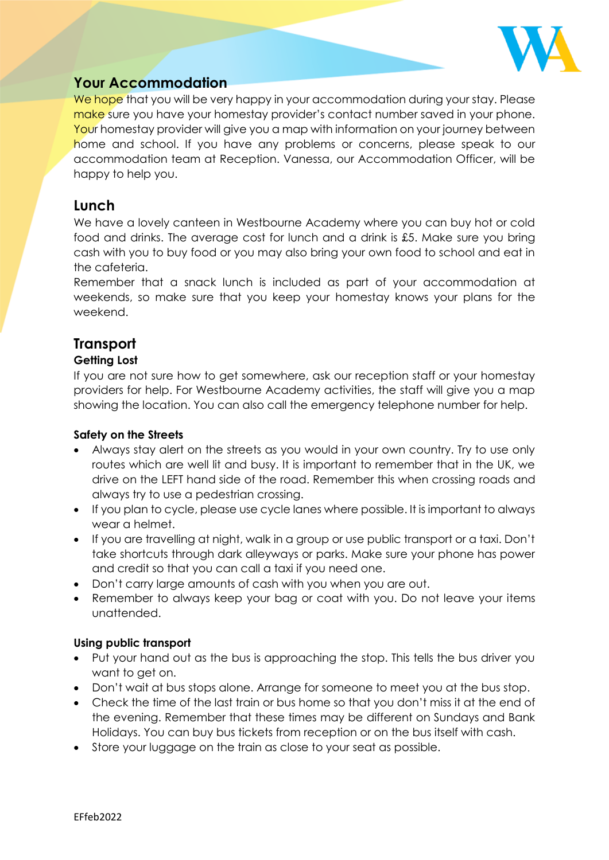

## **Your Accommodation**

We hope that you will be very happy in your accommodation during your stay. Please make sure you have your homestay provider's contact number saved in your phone. Your homestay provider will give you a map with information on your journey between home and school. If you have any problems or concerns, please speak to our accommodation team at Reception. Vanessa, our Accommodation Officer, will be happy to help you.

## **Lunch**

We have a lovely canteen in Westbourne Academy where you can buy hot or cold food and drinks. The average cost for lunch and a drink is £5. Make sure you bring cash with you to buy food or you may also bring your own food to school and eat in the cafeteria.

Remember that a snack lunch is included as part of your accommodation at weekends, so make sure that you keep your homestay knows your plans for the weekend.

## **Transport**

#### **Getting Lost**

If you are not sure how to get somewhere, ask our reception staff or your homestay providers for help. For Westbourne Academy activities, the staff will give you a map showing the location. You can also call the emergency telephone number for help.

#### **Safety on the Streets**

- Always stay alert on the streets as you would in your own country. Try to use only routes which are well lit and busy. It is important to remember that in the UK, we drive on the LEFT hand side of the road. Remember this when crossing roads and always try to use a pedestrian crossing.
- If you plan to cycle, please use cycle lanes where possible. It is important to always wear a helmet.
- If you are travelling at night, walk in a group or use public transport or a taxi. Don't take shortcuts through dark alleyways or parks. Make sure your phone has power and credit so that you can call a taxi if you need one.
- Don't carry large amounts of cash with you when you are out.
- Remember to always keep your bag or coat with you. Do not leave your items unattended.

#### **Using public transport**

- Put your hand out as the bus is approaching the stop. This tells the bus driver you want to get on.
- Don't wait at bus stops alone. Arrange for someone to meet you at the bus stop.
- Check the time of the last train or bus home so that you don't miss it at the end of the evening. Remember that these times may be different on Sundays and Bank Holidays. You can buy bus tickets from reception or on the bus itself with cash.
- Store your luggage on the train as close to your seat as possible.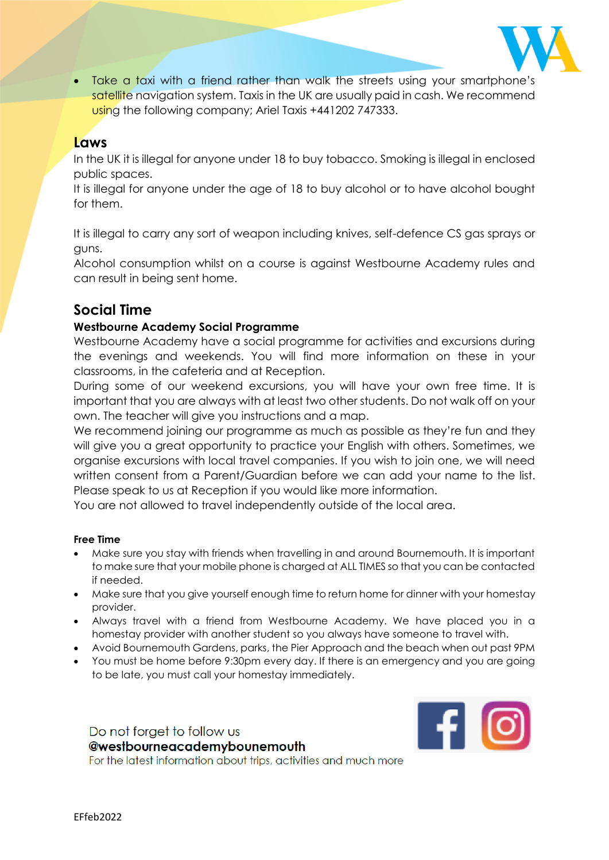

Take a taxi with a friend rather than walk the streets using your smartphone's satellite navigation system. Taxis in the UK are usually paid in cash. We recommend using the following company; Ariel Taxis +441202 747333.

## **Laws**

In the UK it is illegal for anyone under 18 to buy tobacco. Smoking is illegal in enclosed public spaces.

It is illegal for anyone under the age of 18 to buy alcohol or to have alcohol bought for them.

It is illegal to carry any sort of weapon including knives, self-defence CS gas sprays or guns.

Alcohol consumption whilst on a course is against Westbourne Academy rules and can result in being sent home.

## **Social Time**

#### **Westbourne Academy Social Programme**

Westbourne Academy have a social programme for activities and excursions during the evenings and weekends. You will find more information on these in your classrooms, in the cafeteria and at Reception.

During some of our weekend excursions, you will have your own free time. It is important that you are always with at least two other students. Do not walk off on your own. The teacher will give you instructions and a map.

We recommend joining our programme as much as possible as they're fun and they will give you a great opportunity to practice your English with others. Sometimes, we organise excursions with local travel companies. If you wish to join one, we will need written consent from a Parent/Guardian before we can add your name to the list. Please speak to us at Reception if you would like more information.

You are not allowed to travel independently outside of the local area.

#### **Free Time**

- Make sure you stay with friends when travelling in and around Bournemouth. It is important to make sure that your mobile phone is charged at ALL TIMES so that you can be contacted if needed.
- Make sure that you give yourself enough time to return home for dinner with your homestay provider.
- Always travel with a friend from Westbourne Academy. We have placed you in a homestay provider with another student so you always have someone to travel with.
- Avoid Bournemouth Gardens, parks, the Pier Approach and the beach when out past 9PM
- You must be home before 9:30pm every day. If there is an emergency and you are going to be late, you must call your homestay immediately.

Do not forget to follow us @westbourneacademybounemouth For the latest information about trips, activities and much more

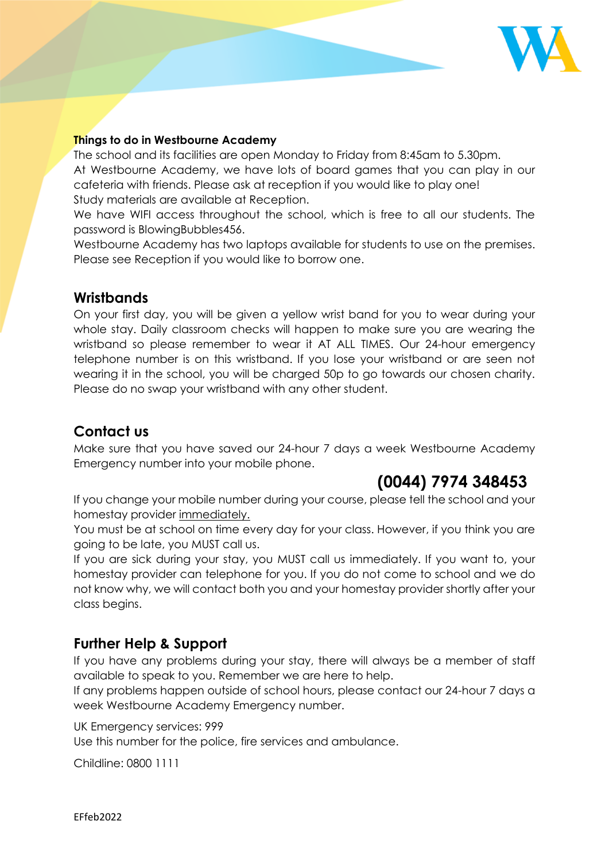

#### **Things to do in Westbourne Academy**

The school and its facilities are open Monday to Friday from 8:45am to 5.30pm. At Westbourne Academy, we have lots of board games that you can play in our cafeteria with friends. Please ask at reception if you would like to play one! Study materials are available at Reception.

We have WIFI access throughout the school, which is free to all our students. The password is BlowingBubbles456.

Westbourne Academy has two laptops available for students to use on the premises. Please see Reception if you would like to borrow one.

## **Wristbands**

On your first day, you will be given a yellow wrist band for you to wear during your whole stay. Daily classroom checks will happen to make sure you are wearing the wristband so please remember to wear it AT ALL TIMES. Our 24-hour emergency telephone number is on this wristband. If you lose your wristband or are seen not wearing it in the school, you will be charged 50p to go towards our chosen charity. Please do no swap your wristband with any other student.

## **Contact us**

Make sure that you have saved our 24-hour 7 days a week Westbourne Academy Emergency number into your mobile phone.

## **(0044) 7974 348453**

If you change your mobile number during your course, please tell the school and your homestay provider immediately.

You must be at school on time every day for your class. However, if you think you are going to be late, you MUST call us.

If you are sick during your stay, you MUST call us immediately. If you want to, your homestay provider can telephone for you. If you do not come to school and we do not know why, we will contact both you and your homestay provider shortly after your class begins.

## **Further Help & Support**

If you have any problems during your stay, there will always be a member of staff available to speak to you. Remember we are here to help.

If any problems happen outside of school hours, please contact our 24-hour 7 days a week Westbourne Academy Emergency number.

UK Emergency services: 999

Use this number for the police, fire services and ambulance.

Childline: 0800 1111